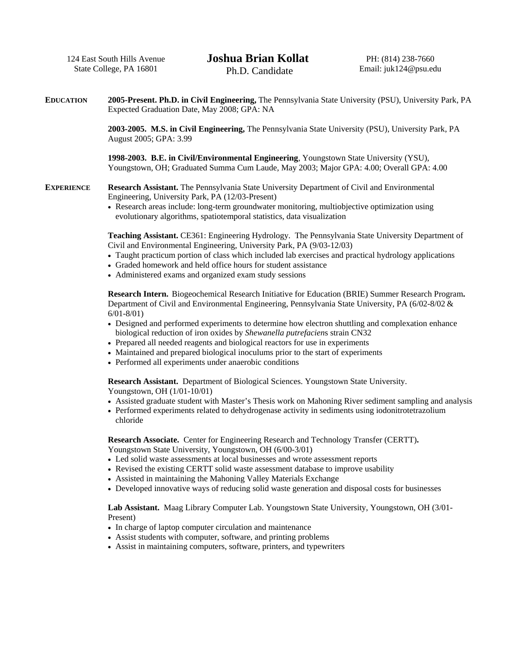124 East South Hills Avenue State College, PA 16801

**EDUCATION 2005-Present. Ph.D. in Civil Engineering,** The Pennsylvania State University (PSU), University Park, PA Expected Graduation Date, May 2008; GPA: NA

> **2003-2005. M.S. in Civil Engineering,** The Pennsylvania State University (PSU), University Park, PA August 2005; GPA: 3.99

**1998-2003. B.E. in Civil/Environmental Engineering**, Youngstown State University (YSU), Youngstown, OH; Graduated Summa Cum Laude, May 2003; Major GPA: 4.00; Overall GPA: 4.00

**EXPERIENCE Research Assistant.** The Pennsylvania State University Department of Civil and Environmental Engineering, University Park, PA (12/03-Present)

> • Research areas include: long-term groundwater monitoring, multiobjective optimization using evolutionary algorithms, spatiotemporal statistics, data visualization

**Teaching Assistant.** CE361: Engineering Hydrology. The Pennsylvania State University Department of Civil and Environmental Engineering, University Park, PA (9/03-12/03)

- Taught practicum portion of class which included lab exercises and practical hydrology applications
- Graded homework and held office hours for student assistance
- Administered exams and organized exam study sessions

**Research Intern.** Biogeochemical Research Initiative for Education (BRIE) Summer Research Program**.**  Department of Civil and Environmental Engineering, Pennsylvania State University, PA (6/02-8/02 & 6/01-8/01)

- Designed and performed experiments to determine how electron shuttling and complexation enhance biological reduction of iron oxides by *Shewanella putrefacien*s strain CN32
- Prepared all needed reagents and biological reactors for use in experiments
- Maintained and prepared biological inoculums prior to the start of experiments
- Performed all experiments under anaerobic conditions

**Research Assistant.** Department of Biological Sciences. Youngstown State University. Youngstown, OH (1/01-10/01)

- Assisted graduate student with Master's Thesis work on Mahoning River sediment sampling and analysis
- Performed experiments related to dehydrogenase activity in sediments using iodonitrotetrazolium chloride

**Research Associate.** Center for Engineering Research and Technology Transfer (CERTT)**.**  Youngstown State University, Youngstown, OH (6/00-3/01)

- Led solid waste assessments at local businesses and wrote assessment reports
- Revised the existing CERTT solid waste assessment database to improve usability
- Assisted in maintaining the Mahoning Valley Materials Exchange
- Developed innovative ways of reducing solid waste generation and disposal costs for businesses

**Lab Assistant.** Maag Library Computer Lab. Youngstown State University, Youngstown, OH (3/01- Present)

- In charge of laptop computer circulation and maintenance
- Assist students with computer, software, and printing problems
- Assist in maintaining computers, software, printers, and typewriters